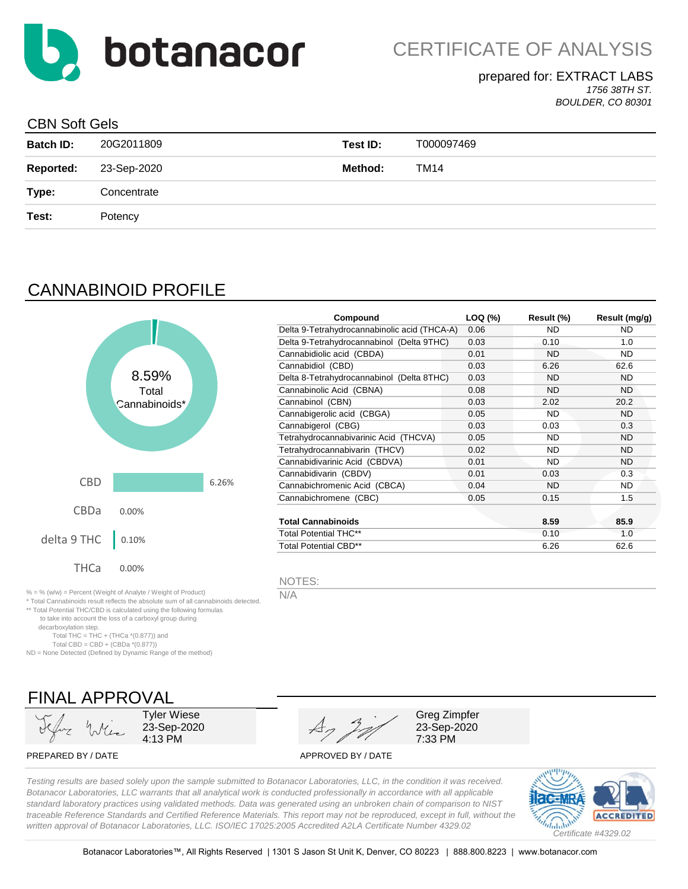

## prepared for: EXTRACT LABS

*1756 38TH ST. BOULDER, CO 80301*

## CBN Soft Gels

| <b>Batch ID:</b> | 20G2011809  | Test ID: | T000097469 |
|------------------|-------------|----------|------------|
| <b>Reported:</b> | 23-Sep-2020 | Method:  | TM14       |
| Type:            | Concentrate |          |            |
| Test:            | Potency     |          |            |
|                  |             |          |            |

# CANNABINOID PROFILE



| Compound                                     | LOQ (%) | Result (%) | Result (mg/g) |
|----------------------------------------------|---------|------------|---------------|
| Delta 9-Tetrahydrocannabinolic acid (THCA-A) | 0.06    | ND.        | ND            |
| Delta 9-Tetrahydrocannabinol (Delta 9THC)    | 0.03    | 0.10       | 1.0           |
| Cannabidiolic acid (CBDA)                    | 0.01    | ND         | ND.           |
| Cannabidiol (CBD)                            | 0.03    | 6.26       | 62.6          |
| Delta 8-Tetrahydrocannabinol (Delta 8THC)    | 0.03    | ND         | ND.           |
| Cannabinolic Acid (CBNA)                     | 0.08    | <b>ND</b>  | ND.           |
| Cannabinol (CBN)                             | 0.03    | 2.02       | 20.2          |
| Cannabigerolic acid (CBGA)                   | 0.05    | ND.        | ND.           |
| Cannabigerol (CBG)                           | 0.03    | 0.03       | 0.3           |
| Tetrahydrocannabivarinic Acid (THCVA)        | 0.05    | <b>ND</b>  | <b>ND</b>     |
| Tetrahydrocannabivarin (THCV)                | 0.02    | ND.        | ND.           |
| Cannabidivarinic Acid (CBDVA)                | 0.01    | ND.        | ND.           |
| Cannabidivarin (CBDV)                        | 0.01    | 0.03       | 0.3           |
| Cannabichromenic Acid (CBCA)                 | 0.04    | ND         | ND            |
| Cannabichromene (CBC)                        | 0.05    | 0.15       | 1.5           |
| <b>Total Cannabinoids</b>                    |         | 8.59       | 85.9          |
| <b>Total Potential THC**</b>                 |         | 0.10       | 1.0           |
| <b>Total Potential CBD**</b>                 |         | 6.26       | 62.6          |

NOTES:

N/A

 to take into account the loss of a carboxyl group during decarboxylation step. Total THC = THC + (THCa  $*(0.877)$ ) and Total CBD = CBD +  $(CBDa * (0.877))$ 

\* Total Cannabinoids result reflects the absolute sum of all cannabinoids detected. \*\* Total Potential THC/CBD is calculated using the following formulas

ND = None Detected (Defined by Dynamic Range of the method)



Tyler Wiese 23-Sep-2020 4:13 PM

PREPARED BY / DATE APPROVED BY / DATE

Greg Zimpfer 23-Sep-2020 7:33 PM

*Testing results are based solely upon the sample submitted to Botanacor Laboratories, LLC, in the condition it was received. Botanacor Laboratories, LLC warrants that all analytical work is conducted professionally in accordance with all applicable standard laboratory practices using validated methods. Data was generated using an unbroken chain of comparison to NIST traceable Reference Standards and Certified Reference Materials. This report may not be reproduced, except in full, without the written approval of Botanacor Laboratories, LLC. ISO/IEC 17025:2005 Accredited A2LA Certificate Number 4329.02*

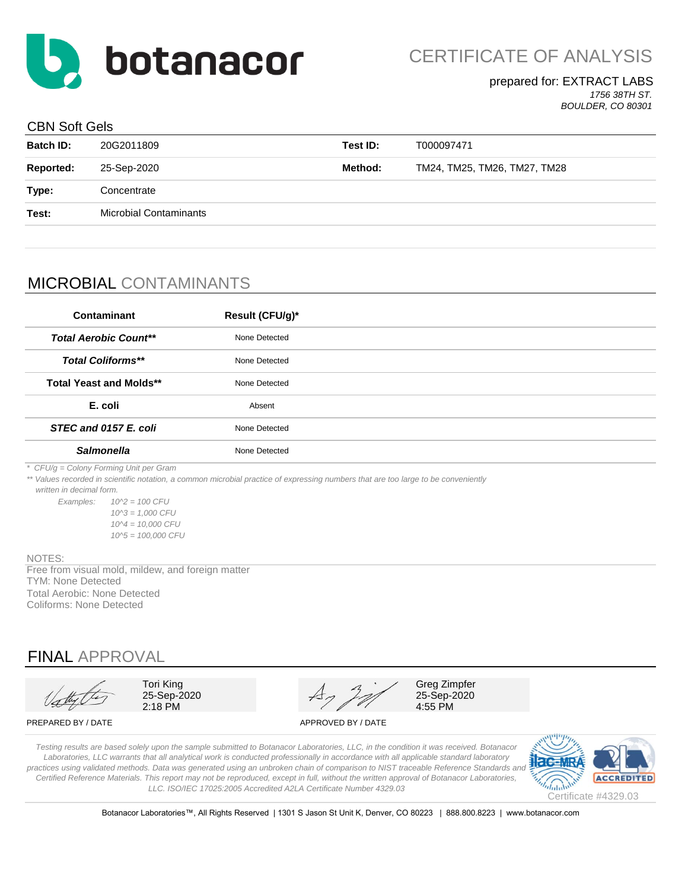

#### prepared for: EXTRACT LABS *1756 38TH ST.*

*BOULDER, CO 80301*

### CBN Soft Gels

| <b>Batch ID:</b> | 20G2011809                    | Test ID: | T000097471                   |
|------------------|-------------------------------|----------|------------------------------|
| Reported:        | 25-Sep-2020                   | Method:  | TM24, TM25, TM26, TM27, TM28 |
| Type:            | Concentrate                   |          |                              |
| Test:            | <b>Microbial Contaminants</b> |          |                              |
|                  |                               |          |                              |

# MICROBIAL CONTAMINANTS

| Contaminant                            | Result (CFU/g)*                                                                                                                                                                                                                                                                                                                                                                                                                                                                                                             |  |
|----------------------------------------|-----------------------------------------------------------------------------------------------------------------------------------------------------------------------------------------------------------------------------------------------------------------------------------------------------------------------------------------------------------------------------------------------------------------------------------------------------------------------------------------------------------------------------|--|
| <b>Total Aerobic Count**</b>           | None Detected                                                                                                                                                                                                                                                                                                                                                                                                                                                                                                               |  |
| <b>Total Coliforms**</b>               | None Detected                                                                                                                                                                                                                                                                                                                                                                                                                                                                                                               |  |
| <b>Total Yeast and Molds**</b>         | None Detected                                                                                                                                                                                                                                                                                                                                                                                                                                                                                                               |  |
| E. coli                                | Absent                                                                                                                                                                                                                                                                                                                                                                                                                                                                                                                      |  |
| STEC and 0157 E. coli                  | None Detected                                                                                                                                                                                                                                                                                                                                                                                                                                                                                                               |  |
| <b>Salmonella</b>                      | None Detected                                                                                                                                                                                                                                                                                                                                                                                                                                                                                                               |  |
| * CFU/g = Colony Forming Unit per Gram | $\mathcal{L} = \mathcal{L} \times \mathcal{L} = \mathcal{L} \times \mathcal{L} = \mathcal{L} \times \mathcal{L} = \mathcal{L} \times \mathcal{L} \times \mathcal{L} = \mathcal{L} \times \mathcal{L} \times \mathcal{L} = \mathcal{L} \times \mathcal{L} \times \mathcal{L} \times \mathcal{L} = \mathcal{L} \times \mathcal{L} \times \mathcal{L} \times \mathcal{L} \times \mathcal{L} \times \mathcal{L} \times \mathcal{L} \times \mathcal{L} \times \mathcal{L} \times \mathcal{L} \times \mathcal{L} \times \mathcal$ |  |

*\*\* Values recorded in scientific notation, a common microbial practice of expressing numbers that are too large to be conveniently* 

 *written in decimal form.*

*Examples: 10^2 = 100 CFU 10^3 = 1,000 CFU 10^4 = 10,000 CFU 10^5 = 100,000 CFU*

#### NOTES:

Total Aerobic: None Detected Coliforms: None Detected TYM: None Detected Free from visual mold, mildew, and foreign matter

## FINAL APPROVAL

Tori King 25-Sep-2020 2:18 PM

Greg Zimpfer 25-Sep-2020 4:55 PM

PREPARED BY / DATE APPROVED BY / DATE



*Testing results are based solely upon the sample submitted to Botanacor Laboratories, LLC, in the condition it was received. Botanacor Laboratories, LLC warrants that all analytical work is conducted professionally in accordance with all applicable standard laboratory*  practices using validated methods. Data was generated using an unbroken chain of comparison to NIST traceable Reference Standards and *Certified Reference Materials. This report may not be reproduced, except in full, without the written approval of Botanacor Laboratories, LLC. ISO/IEC 17025:2005 Accredited A2LA Certificate Number 4329.03*



Botanacor Laboratories™, All Rights Reserved | 1301 S Jason St Unit K, Denver, CO 80223 | 888.800.8223 | www.botanacor.com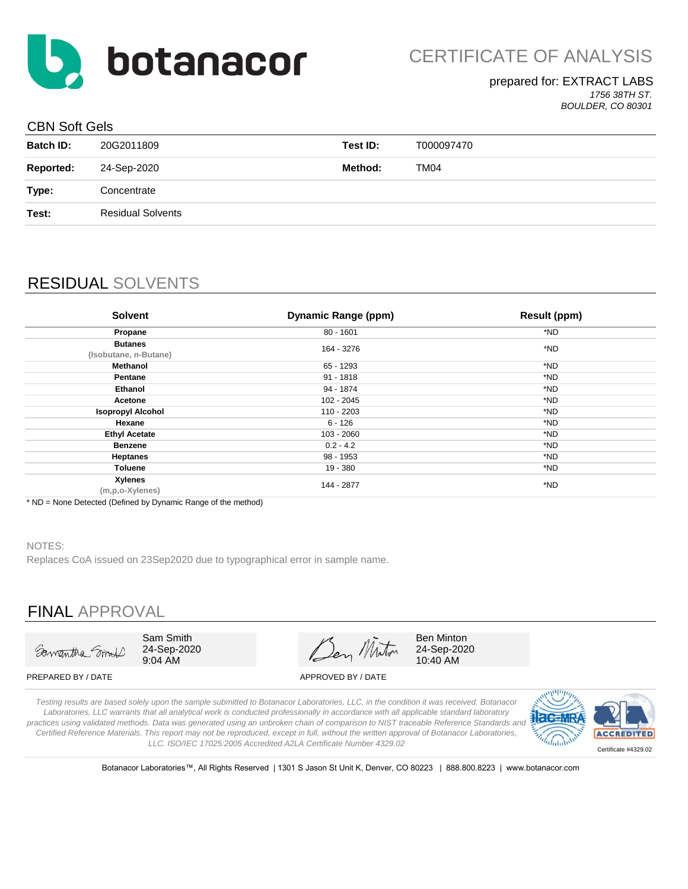

#### prepared for: EXTRACT LABS *1756 38TH ST. BOULDER, CO 80301*

### CBN Soft Gels

| <u> 991 - 991 - 991 - 99</u> |                          |          |            |
|------------------------------|--------------------------|----------|------------|
| <b>Batch ID:</b>             | 20G2011809               | Test ID: | T000097470 |
| <b>Reported:</b>             | 24-Sep-2020              | Method:  | TM04       |
| Type:                        | Concentrate              |          |            |
| Test:                        | <b>Residual Solvents</b> |          |            |
|                              |                          |          |            |

## RESIDUAL SOLVENTS

| <b>Solvent</b>                          | <b>Dynamic Range (ppm)</b> | <b>Result (ppm)</b> |
|-----------------------------------------|----------------------------|---------------------|
| Propane                                 | $80 - 1601$                | *ND                 |
| <b>Butanes</b><br>(Isobutane, n-Butane) | 164 - 3276                 | *ND                 |
| Methanol                                | 65 - 1293                  | *ND                 |
| Pentane                                 | $91 - 1818$                | *ND                 |
| Ethanol                                 | 94 - 1874                  | *ND                 |
| Acetone                                 | 102 - 2045                 | *ND                 |
| <b>Isopropyl Alcohol</b>                | 110 - 2203                 | *ND                 |
| Hexane                                  | $6 - 126$                  | *ND                 |
| <b>Ethyl Acetate</b>                    | 103 - 2060                 | *ND                 |
| <b>Benzene</b>                          | $0.2 - 4.2$                | *ND                 |
| <b>Heptanes</b>                         | 98 - 1953                  | *ND                 |
| Toluene                                 | 19 - 380                   | *ND                 |
| <b>Xylenes</b><br>(m,p,o-Xylenes)       | 144 - 2877                 | *ND                 |

\* ND = None Detected (Defined by Dynamic Range of the method)

#### NOTES:

Replaces CoA issued on 23Sep2020 due to typographical error in sample name.

## FINAL APPROVAL



Sam Smith 24-Sep-2020 9:04 AM

Ben Miton

24-Sep-2020 10:40 AM

Ben Minton

PREPARED BY / DATE APPROVED BY / DATE

*Testing results are based solely upon the sample submitted to Botanacor Laboratories, LLC, in the condition it was received. Botanacor Laboratories, LLC warrants that all analytical work is conducted professionally in accordance with all applicable standard laboratory practices using validated methods. Data was generated using an unbroken chain of comparison to NIST traceable Reference Standards and Certified Reference Materials. This report may not be reproduced, except in full, without the written approval of Botanacor Laboratories, LLC. ISO/IEC 17025:2005 Accredited A2LA Certificate Number 4329.02*



Botanacor Laboratories™, All Rights Reserved | 1301 S Jason St Unit K, Denver, CO 80223 | 888.800.8223 | www.botanacor.com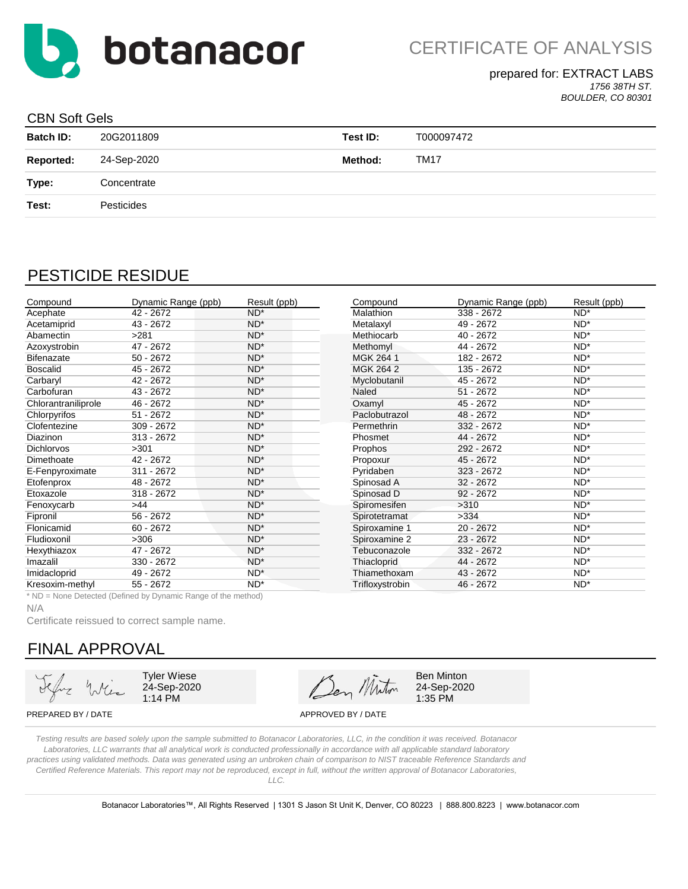

CERTIFICATE OF ANALYSIS

### prepared for: EXTRACT LABS

*1756 38TH ST. BOULDER, CO 80301*

#### CBN Soft Gels

| <b>Batch ID:</b> | 20G2011809  | Test ID: | T000097472  |
|------------------|-------------|----------|-------------|
| <b>Reported:</b> | 24-Sep-2020 | Method:  | <b>TM17</b> |
| Type:            | Concentrate |          |             |
| Test:            | Pesticides  |          |             |

## PESTICIDE RESIDUE

| Compound            | Dynamic Range (ppb)                                           | Result (ppb) | Compound         | Dynamic Range (ppb) | Result (ppb) |
|---------------------|---------------------------------------------------------------|--------------|------------------|---------------------|--------------|
| Acephate            | 42 - 2672                                                     | $ND^*$       | <b>Malathion</b> | 338 - 2672          | $ND^*$       |
| Acetamiprid         | 43 - 2672                                                     | $ND^*$       | Metalaxyl        | 49 - 2672           | $ND^*$       |
| Abamectin           | >281                                                          | $ND^*$       | Methiocarb       | 40 - 2672           | $ND^*$       |
| Azoxystrobin        | 47 - 2672                                                     | $ND^*$       | Methomyl         | 44 - 2672           | $ND^*$       |
| <b>Bifenazate</b>   | $50 - 2672$                                                   | $ND^*$       | MGK 264 1        | 182 - 2672          | $ND^*$       |
| <b>Boscalid</b>     | 45 - 2672                                                     | $ND^*$       | <b>MGK 264 2</b> | 135 - 2672          | $ND^*$       |
| Carbaryl            | 42 - 2672                                                     | $ND^*$       | Myclobutanil     | 45 - 2672           | $ND^*$       |
| Carbofuran          | 43 - 2672                                                     | $ND^*$       | Naled            | $51 - 2672$         | $ND^*$       |
| Chlorantraniliprole | 46 - 2672                                                     | $ND^*$       | Oxamyl           | 45 - 2672           | $ND^*$       |
| Chlorpyrifos        | $51 - 2672$                                                   | $ND^*$       | Paclobutrazol    | 48 - 2672           | $ND^*$       |
| Clofentezine        | 309 - 2672                                                    | $ND^*$       | Permethrin       | 332 - 2672          | $ND^*$       |
| Diazinon            | 313 - 2672                                                    | $ND^*$       | Phosmet          | 44 - 2672           | $ND^*$       |
| <b>Dichlorvos</b>   | >301                                                          | $ND^*$       | Prophos          | 292 - 2672          | $ND^*$       |
| Dimethoate          | 42 - 2672                                                     | $ND^*$       | Propoxur         | 45 - 2672           | $ND^*$       |
| E-Fenpyroximate     | 311 - 2672                                                    | $ND^*$       | Pyridaben        | 323 - 2672          | $ND^*$       |
| Etofenprox          | 48 - 2672                                                     | $ND^*$       | Spinosad A       | $32 - 2672$         | $ND^*$       |
| Etoxazole           | 318 - 2672                                                    | $ND^*$       | Spinosad D       | $92 - 2672$         | $ND^*$       |
| Fenoxycarb          | >44                                                           | $ND^*$       | Spiromesifen     | >310                | $ND^*$       |
| Fipronil            | $56 - 2672$                                                   | $ND^*$       | Spirotetramat    | >334                | $ND^*$       |
| Flonicamid          | $60 - 2672$                                                   | $ND^*$       | Spiroxamine 1    | 20 - 2672           | $ND^*$       |
| Fludioxonil         | >306                                                          | $ND^*$       | Spiroxamine 2    | 23 - 2672           | $ND^*$       |
| Hexythiazox         | 47 - 2672                                                     | $ND^*$       | Tebuconazole     | 332 - 2672          | $ND^*$       |
| Imazalil            | $330 - 2672$                                                  | $ND^*$       | Thiacloprid      | 44 - 2672           | $ND^*$       |
| Imidacloprid        | 49 - 2672                                                     | $ND^*$       | Thiamethoxam     | 43 - 2672           | $ND^*$       |
| Kresoxim-methyl     | 55 - 2672                                                     | $ND^*$       | Trifloxystrobin  | 46 - 2672           | $ND^*$       |
|                     | * ND = None Detected (Defined by Dynamic Range of the method) |              |                  |                     |              |

N/A

Certificate reissued to correct sample name.

## FINAL APPROVAL

Tyler Wiese 24-Sep-2020 1:14 PM

Den Minton

Ben Minton 24-Sep-2020 1:35 PM

PREPARED BY / DATE APPROVED BY / DATE

*Testing results are based solely upon the sample submitted to Botanacor Laboratories, LLC, in the condition it was received. Botanacor Laboratories, LLC warrants that all analytical work is conducted professionally in accordance with all applicable standard laboratory practices using validated methods. Data was generated using an unbroken chain of comparison to NIST traceable Reference Standards and Certified Reference Materials. This report may not be reproduced, except in full, without the written approval of Botanacor Laboratories,* 

*LLC.*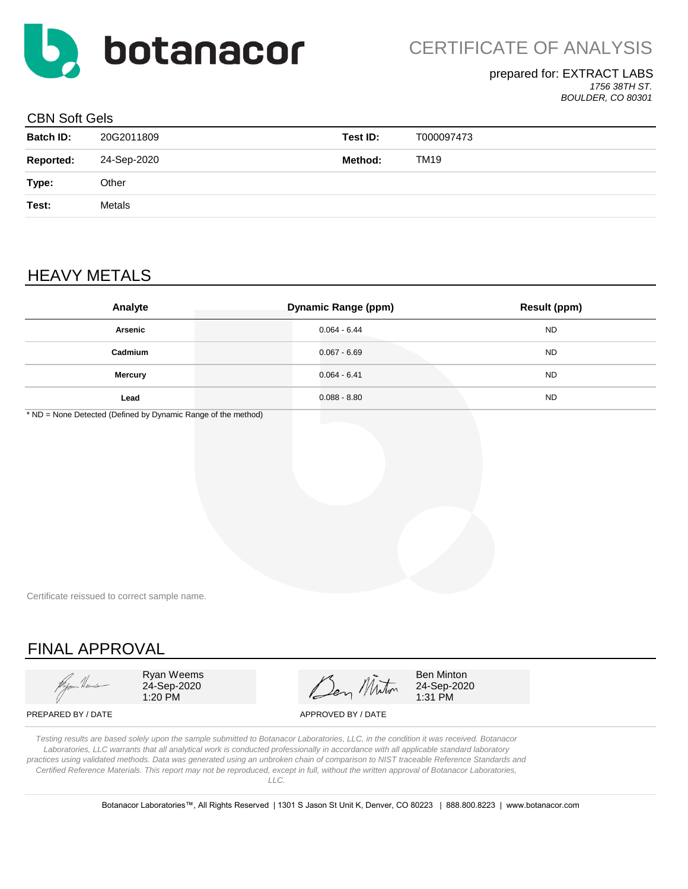

### prepared for: EXTRACT LABS

*1756 38TH ST. BOULDER, CO 80301*

#### CBN Soft Gels

| <b>Batch ID:</b> | 20G2011809  | Test ID: | T000097473 |
|------------------|-------------|----------|------------|
| <b>Reported:</b> | 24-Sep-2020 | Method:  | TM19       |
| Type:            | Other       |          |            |
| Test:            | Metals      |          |            |
|                  |             |          |            |

## HEAVY METALS

| Analyte        | <b>Dynamic Range (ppm)</b> | <b>Result (ppm)</b> |
|----------------|----------------------------|---------------------|
| Arsenic        | $0.064 - 6.44$             | <b>ND</b>           |
| Cadmium        | $0.067 - 6.69$             | <b>ND</b>           |
| <b>Mercury</b> | $0.064 - 6.41$             | <b>ND</b>           |
| Lead           | $0.088 - 8.80$             | <b>ND</b>           |

\* ND = None Detected (Defined by Dynamic Range of the method)

Certificate reissued to correct sample name.

# FINAL APPROVAL

Ryan Weems 24-Sep-2020 1:20 PM

Ben Minton

Ben Minton 24-Sep-2020 1:31 PM

PREPARED BY / DATE APPROVED BY / DATE

*Testing results are based solely upon the sample submitted to Botanacor Laboratories, LLC, in the condition it was received. Botanacor Laboratories, LLC warrants that all analytical work is conducted professionally in accordance with all applicable standard laboratory practices using validated methods. Data was generated using an unbroken chain of comparison to NIST traceable Reference Standards and Certified Reference Materials. This report may not be reproduced, except in full, without the written approval of Botanacor Laboratories, LLC.* 

Botanacor Laboratories™, All Rights Reserved | 1301 S Jason St Unit K, Denver, CO 80223 | 888.800.8223 | www.botanacor.com